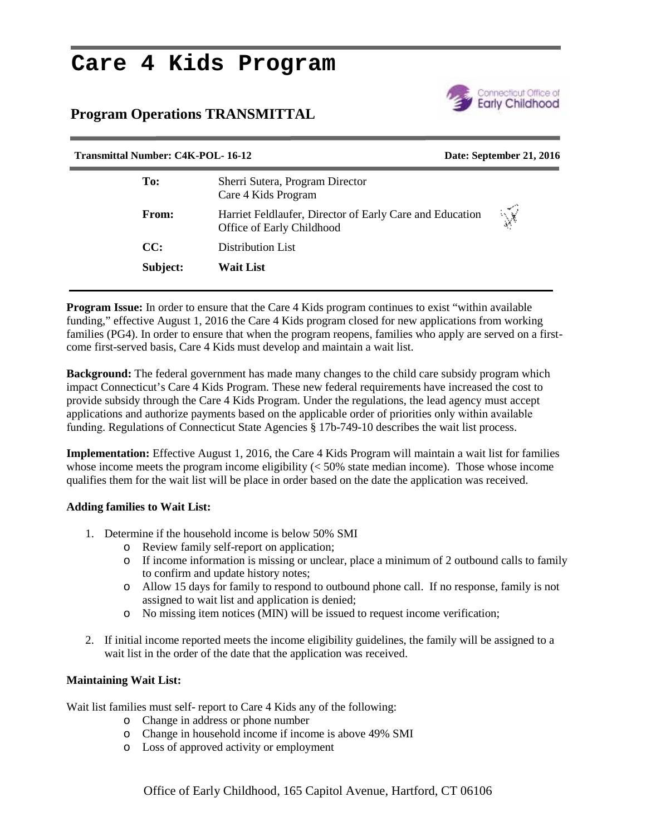# **Care 4 Kids Program**

### **Program Operations TRANSMITTAL**



## **Transmittal Number: C4K-POL- 16-12 Date: September 21, 2016 To:** Sherri Sutera, Program Director Care 4 Kids Program **From:** Harriet Feldlaufer, Director of Early Care and Education  $\sqrt{\sqrt{\frac{25}{100}} \cdot \frac{64}{100}}$ Office of Early Childhood **CC:** Distribution List **Subject: Wait List**

**Program Issue:** In order to ensure that the Care 4 Kids program continues to exist "within available funding," effective August 1, 2016 the Care 4 Kids program closed for new applications from working families (PG4). In order to ensure that when the program reopens, families who apply are served on a first come first-served basis, Care 4 Kids must develop and maintain a wait list.

**Background:** The federal government has made many changes to the child care subsidy program which impact Connecticut's Care 4 Kids Program. These new federal requirements have increased the cost to provide subsidy through the Care 4 Kids Program. Under the regulations, the lead agency must accept applications and authorize payments based on the applicable order of priorities only within available funding. Regulations of Connecticut State Agencies § 17b-749-10 describes the wait list process.

**Implementation:** Effective August 1, 2016, the Care 4 Kids Program will maintain a wait list for families whose income meets the program income eligibility  $\ll 50\%$  state median income). Those whose income qualifies them for the wait list will be place in order based on the date the application was received.

#### **Adding families to Wait List:**

- 1. Determine if the household income is below 50% SMI
	- o Review family self-report on application;
	- o If income information is missing or unclear, place a minimum of 2 outbound calls to family to confirm and update history notes;
	- o Allow 15 days for family to respond to outbound phone call. If no response, family is not assigned to wait list and application is denied;
	- o No missing item notices (MIN) will be issued to request income verification;
- 2. If initial income reported meets the income eligibility guidelines, the family will be assigned to a wait list in the order of the date that the application was received.

#### **Maintaining Wait List:**

Wait list families must self- report to Care 4 Kids any of the following:

- o Change in address or phone number
- o Change in household income if income is above 49% SMI
- o Loss of approved activity or employment